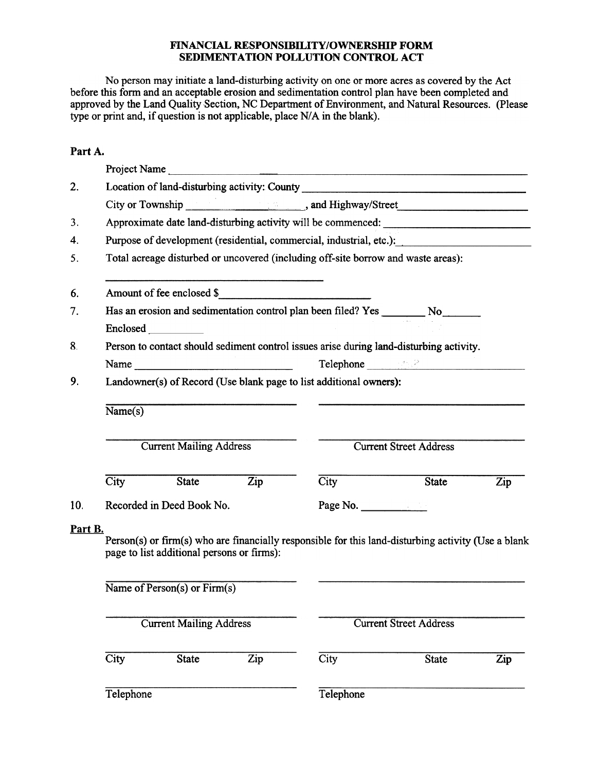## FINANCIAL RESPONSIBILITY/OWNERSHIP FORM SEDIMENTATION POLLUTION CONTROL ACT

No person may initiate a land-disturbing activity on one or more acres as covered by the Act before this form and an acceptable erosion and sedimentation control plan have been completed and approved by the Land Quality Section, NC Department of Environment, and Natural Resources. (Please type or print and, if question is not applicable, place N/A in the blank).

## Part A.

|         |                                                                                         |                                                                                                                                                                                                                                                                                                                                                                                                               |                  | Project Name                                                                                        |                                                                                                                                                                                                                                     |     |  |  |  |  |
|---------|-----------------------------------------------------------------------------------------|---------------------------------------------------------------------------------------------------------------------------------------------------------------------------------------------------------------------------------------------------------------------------------------------------------------------------------------------------------------------------------------------------------------|------------------|-----------------------------------------------------------------------------------------------------|-------------------------------------------------------------------------------------------------------------------------------------------------------------------------------------------------------------------------------------|-----|--|--|--|--|
| 2.      | Location of land-disturbing activity: County ___________________________________        |                                                                                                                                                                                                                                                                                                                                                                                                               |                  |                                                                                                     |                                                                                                                                                                                                                                     |     |  |  |  |  |
|         |                                                                                         |                                                                                                                                                                                                                                                                                                                                                                                                               |                  |                                                                                                     |                                                                                                                                                                                                                                     |     |  |  |  |  |
| 3.      | Approximate date land-disturbing activity will be commenced: ____________________       |                                                                                                                                                                                                                                                                                                                                                                                                               |                  |                                                                                                     |                                                                                                                                                                                                                                     |     |  |  |  |  |
| 4.      | Purpose of development (residential, commercial, industrial, etc.):                     |                                                                                                                                                                                                                                                                                                                                                                                                               |                  |                                                                                                     |                                                                                                                                                                                                                                     |     |  |  |  |  |
| 5.      | Total acreage disturbed or uncovered (including off-site borrow and waste areas):       |                                                                                                                                                                                                                                                                                                                                                                                                               |                  |                                                                                                     |                                                                                                                                                                                                                                     |     |  |  |  |  |
| 6.      |                                                                                         |                                                                                                                                                                                                                                                                                                                                                                                                               |                  | Amount of fee enclosed \$                                                                           |                                                                                                                                                                                                                                     |     |  |  |  |  |
| 7.      |                                                                                         |                                                                                                                                                                                                                                                                                                                                                                                                               |                  |                                                                                                     |                                                                                                                                                                                                                                     |     |  |  |  |  |
|         | <b>Enclosed</b>                                                                         |                                                                                                                                                                                                                                                                                                                                                                                                               |                  |                                                                                                     |                                                                                                                                                                                                                                     |     |  |  |  |  |
| 8.      | Person to contact should sediment control issues arise during land-disturbing activity. |                                                                                                                                                                                                                                                                                                                                                                                                               |                  |                                                                                                     |                                                                                                                                                                                                                                     |     |  |  |  |  |
|         |                                                                                         | Name $\frac{1}{\sqrt{1-\frac{1}{2}}\sqrt{1-\frac{1}{2}}\sqrt{1-\frac{1}{2}}\sqrt{1-\frac{1}{2}}\sqrt{1-\frac{1}{2}}\sqrt{1-\frac{1}{2}}\sqrt{1-\frac{1}{2}}\sqrt{1-\frac{1}{2}}\sqrt{1-\frac{1}{2}}\sqrt{1-\frac{1}{2}}\sqrt{1-\frac{1}{2}}\sqrt{1-\frac{1}{2}}\sqrt{1-\frac{1}{2}}\sqrt{1-\frac{1}{2}}\sqrt{1-\frac{1}{2}}\sqrt{1-\frac{1}{2}}\sqrt{1-\frac{1}{2}}\sqrt{1-\frac{1}{2}}\sqrt{1-\frac{1}{2}}\$ |                  |                                                                                                     | Telephone <u>and the second state of</u> the second state of the second state of the second state of the second state of the second state of the second state of the second state of the second state of the second state of the se |     |  |  |  |  |
| 9.      | Landowner(s) of Record (Use blank page to list additional owners):                      |                                                                                                                                                                                                                                                                                                                                                                                                               |                  |                                                                                                     |                                                                                                                                                                                                                                     |     |  |  |  |  |
|         | Name(s)                                                                                 |                                                                                                                                                                                                                                                                                                                                                                                                               |                  |                                                                                                     |                                                                                                                                                                                                                                     |     |  |  |  |  |
|         |                                                                                         | <b>Current Mailing Address</b>                                                                                                                                                                                                                                                                                                                                                                                |                  |                                                                                                     | <b>Current Street Address</b>                                                                                                                                                                                                       |     |  |  |  |  |
|         | $\overline{\text{City}}$                                                                | State                                                                                                                                                                                                                                                                                                                                                                                                         | $\overline{Zip}$ | City                                                                                                | State                                                                                                                                                                                                                               | Zip |  |  |  |  |
| 10.     |                                                                                         | Recorded in Deed Book No.                                                                                                                                                                                                                                                                                                                                                                                     |                  | Page No.                                                                                            |                                                                                                                                                                                                                                     |     |  |  |  |  |
| Part B. |                                                                                         | page to list additional persons or firms):                                                                                                                                                                                                                                                                                                                                                                    |                  | Person(s) or firm(s) who are financially responsible for this land-disturbing activity (Use a blank |                                                                                                                                                                                                                                     |     |  |  |  |  |
|         |                                                                                         | Name of Person(s) or Firm(s)                                                                                                                                                                                                                                                                                                                                                                                  |                  |                                                                                                     |                                                                                                                                                                                                                                     |     |  |  |  |  |
|         |                                                                                         | <b>Current Mailing Address</b>                                                                                                                                                                                                                                                                                                                                                                                |                  |                                                                                                     | <b>Current Street Address</b>                                                                                                                                                                                                       |     |  |  |  |  |
|         | City                                                                                    | <b>State</b>                                                                                                                                                                                                                                                                                                                                                                                                  | Zip              | City                                                                                                | <b>State</b>                                                                                                                                                                                                                        | Zip |  |  |  |  |
|         | Telephone                                                                               |                                                                                                                                                                                                                                                                                                                                                                                                               |                  | Telephone                                                                                           |                                                                                                                                                                                                                                     |     |  |  |  |  |